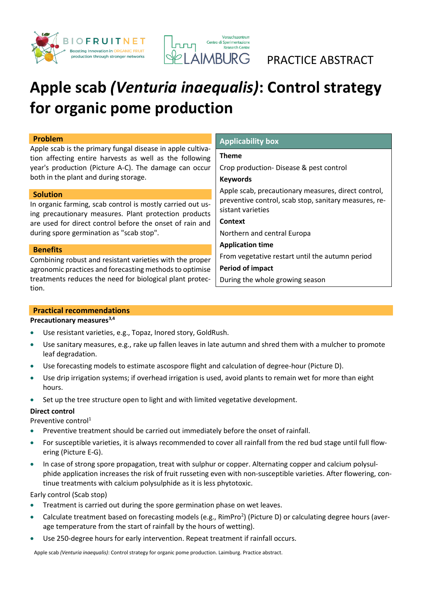



AIMBURG PRACTICE ABSTRACT

# **Apple scab** *(Venturia inaequalis)***: Control strategy for organic pome production**

#### **Problem**

Apple scab is the primary fungal disease in apple cultivation affecting entire harvests as well as the following year's production (Picture A-C). The damage can occur both in the plant and during storage.

#### **Solution**

In organic farming, scab control is mostly carried out using precautionary measures. Plant protection products are used for direct control before the onset of rain and during spore germination as "scab stop".

#### **Benefits**

Combining robust and resistant varieties with the proper agronomic practices and forecasting methods to optimise treatments reduces the need for biological plant protection.

### **Theme**

**Applicability box** 

Crop production- Disease & pest control

### **Keywords**

Apple scab, precautionary measures, direct control, preventive control, scab stop, sanitary measures, resistant varieties

**Context** 

Northern and central Europa

**Application time** From vegetative restart until the autumn period

**Period of impact**

During the whole growing season

### **Practical recommendations**

### **Precautionary measures[3,](#page-1-0)[4](#page-1-1)**

- Use resistant varieties, e.g., Topaz, Inored story, GoldRush.
- Use sanitary measures, e.g., rake up fallen leaves in late autumn and shred them with a mulcher to promote leaf degradation.
- Use forecasting models to estimate ascospore flight and calculation of degree-hour (Picture D).
- Use drip irrigation systems; if overhead irrigation is used, avoid plants to remain wet for more than eight hours.
- Set up the tree structure open to light and with limited vegetative development.

### **Direct control**

Preventive control<sup>[1](#page-1-2)</sup>

- Preventive treatment should be carried out immediately before the onset of rainfall.
- For susceptible varieties, it is always recommended to cover all rainfall from the red bud stage until full flowering (Picture E-G).
- In case of strong spore propagation, treat with sulphur or copper. Alternating copper and calcium polysulphide application increases the risk of fruit russeting even with non-susceptible varieties. After flowering, continue treatments with calcium polysulphide as it is less phytotoxic.

Early control (Scab stop)

- Treatment is carried out during the spore germination phase on wet leaves.
- Calculate treatment based [o](#page-1-3)n forecasting models (e.g., RimPro<sup>2</sup>) (Picture D) or calculating degree hours (average temperature from the start of rainfall by the hours of wetting).
- Use 250-degree hours for early intervention. Repeat treatment if rainfall occurs.

Apple scab *(Venturia inaequalis)*: Control strategy for organic pome production. Laimburg. Practice abstract.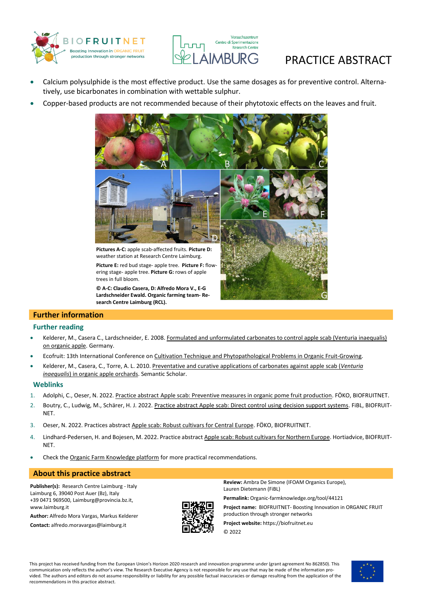



## **AIMBURG** PRACTICE ABSTRACT

- Calcium polysulphide is the most effective product. Use the same dosages as for preventive control. Alternatively, use bicarbonates in combination with wettable sulphur.
- Copper-based products are not recommended because of their phytotoxic effects on the leaves and fruit.



**Picture E:** red bud stage- apple tree. **Picture F:** flow-

ering stage- apple tree. **Picture G:** rows of apple trees in full bloom.

**© A-C: Claudio Casera, D: Alfredo Mora V., E-G Lardschneider Ewald. Organic farming team- Research Centre Laimburg (RCL).**



#### **Further information**

#### **Further reading**

- Kelderer, M., Casera C., Lardschneider, E. 2008. [Formulated and unformulated carbonates to control apple scab \(Venturia inaequalis\)](https://orgprints.org/13641/1/047-053.pdf)  [on organic apple.](https://orgprints.org/13641/1/047-053.pdf) Germany.
- Ecofruit: 13th International Conference on [Cultivation Technique and Phytopathological Problems in Organic Fruit-Growing.](https://orgprints.org/1618/)
- Kelderer, M., Casera, C., Torre, A. L. 2010. [Preventative and curative applications of carbonates against apple scab \(](https://www.semanticscholar.org/paper/Preventative-and-curative-applications-of-against-Kelderer-Casera/5f7ff61941e75159a38f7cb41252b6b39c85649b#citing-papers)*Venturia inaequalis*[\) in organic apple orchards.](https://www.semanticscholar.org/paper/Preventative-and-curative-applications-of-against-Kelderer-Casera/5f7ff61941e75159a38f7cb41252b6b39c85649b#citing-papers) Semantic Scholar.

#### **Weblinks**

- <span id="page-1-2"></span>1. Adolphi, C., Oeser, N. 2022. Practice abstract [Apple scab: Preventive measures in organic pome fruit production.](https://orgprints.org/44120/) FÖKO, BIOFRUITNET.
- <span id="page-1-3"></span>2. Boutry, C., Ludwig, M., Schärer, H. J. 2022. Practice abstract [Apple scab: Direct control using decision support systems.](https://orgprints.org/44111/) FIBL, BIOFRUIT-NET.
- <span id="page-1-0"></span>3. Oeser, N. 2022. Practices abstract Apple scab: Robust cultivars for Central Europe. FÖKO, BIOFRUITNET.
- <span id="page-1-1"></span>4. Lindhard-Pedersen, H. and Bojesen, M. 2022. Practice abstrac[t Apple scab: Robust cultivars for Northern Europe.](https://orgprints.org/44116/) Hortiadvice, BIOFRUIT-NET.
- Check th[e Organic Farm Knowledge platform](https://organic-farmknowledge.org/) for more practical recommendations.

#### **About this practice abstract**

**Publisher(s):** Research Centre Laimburg - Italy Laimburg 6, 39040 Post Auer (Bz), Italy +39 0471 969500[, Laimburg@provincia.bz.it,](http://www.laimburg.it/)  [www.laimburg.it](http://www.laimburg.it/)

**Author:** Alfredo Mora Vargas, Markus Kelderer

**Contact:** [alfredo.moravargas@laimburg.it](mailto:alfredo.moravargas@laimburg.it)



**Review:** Ambra De Simone (IFOAM Organics Europe), Lauren Dietemann (FiBL)

**Permalink:** [Organic-farmknowledge.org/tool/44121](https://organic-farmknowledge.org/tool/44121)

**Project name:** BIOFRUITNET- Boosting Innovation in ORGANIC FRUIT production through stronger networks

**Project website:** https://biofruitnet.eu

© 2022

This project has received funding from the European Union's Horizon 2020 research and innovation programme under (grant agreement No 862850). This communication only reflects the author's view. The Research Executive Agency is not responsible for any use that may be made of the information provided. The authors and editors do not assume responsibility or liability for any possible factual inaccuracies or damage resulting from the application of the recommendations in this practice abstract.